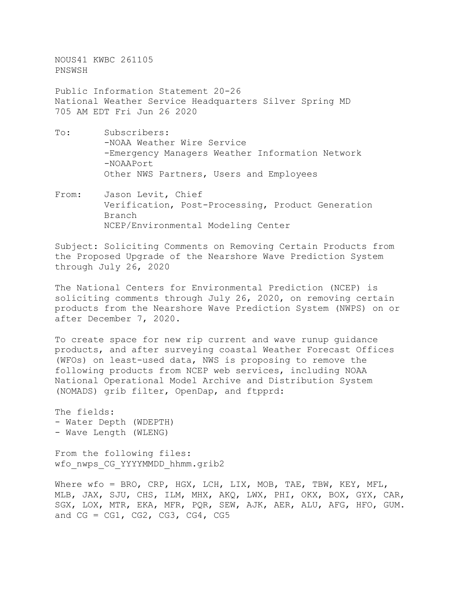NOUS41 KWBC 261105 PNSWSH

Public Information Statement 20-26 National Weather Service Headquarters Silver Spring MD 705 AM EDT Fri Jun 26 2020

- To: Subscribers: -NOAA Weather Wire Service -Emergency Managers Weather Information Network -NOAAPort Other NWS Partners, Users and Employees
- From: Jason Levit, Chief Verification, Post-Processing, Product Generation Branch NCEP/Environmental Modeling Center

Subject: Soliciting Comments on Removing Certain Products from the Proposed Upgrade of the Nearshore Wave Prediction System through July 26, 2020

The National Centers for Environmental Prediction (NCEP) is soliciting comments through July 26, 2020, on removing certain products from the Nearshore Wave Prediction System (NWPS) on or after December 7, 2020.

To create space for new rip current and wave runup guidance products, and after surveying coastal Weather Forecast Offices (WFOs) on least-used data, NWS is proposing to remove the following products from NCEP web services, including NOAA National Operational Model Archive and Distribution System (NOMADS) grib filter, OpenDap, and ftpprd:

The fields: - Water Depth (WDEPTH) - Wave Length (WLENG)

From the following files: wfo nwps CG YYYYMMDD hhmm.grib2

Where wfo = BRO, CRP, HGX, LCH, LIX, MOB, TAE, TBW, KEY, MFL, MLB, JAX, SJU, CHS, ILM, MHX, AKQ, LWX, PHI, OKX, BOX, GYX, CAR, SGX, LOX, MTR, EKA, MFR, PQR, SEW, AJK, AER, ALU, AFG, HFO, GUM. and  $CG = CG1, CG2, CG3, CG4, CG5$